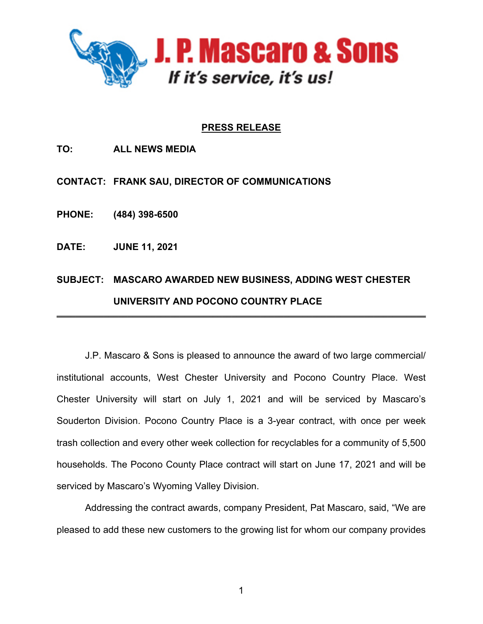

## **PRESS RELEASE**

**TO: ALL NEWS MEDIA**

**CONTACT: FRANK SAU, DIRECTOR OF COMMUNICATIONS**

**PHONE: (484) 398-6500**

**DATE: JUNE 11, 2021**

## **SUBJECT: MASCARO AWARDED NEW BUSINESS, ADDING WEST CHESTER UNIVERSITY AND POCONO COUNTRY PLACE**  \_\_\_\_\_\_\_\_\_\_\_\_\_\_\_\_\_\_\_\_\_\_\_\_\_\_\_\_\_\_\_\_\_\_\_\_\_\_\_\_\_\_\_\_\_\_\_\_\_\_\_\_\_\_\_\_\_\_\_\_\_\_\_\_\_\_\_\_\_\_\_\_\_\_\_\_\_\_

J.P. Mascaro & Sons is pleased to announce the award of two large commercial/ institutional accounts, West Chester University and Pocono Country Place. West Chester University will start on July 1, 2021 and will be serviced by Mascaro's Souderton Division. Pocono Country Place is a 3-year contract, with once per week trash collection and every other week collection for recyclables for a community of 5,500 households. The Pocono County Place contract will start on June 17, 2021 and will be serviced by Mascaro's Wyoming Valley Division.

Addressing the contract awards, company President, Pat Mascaro, said, "We are pleased to add these new customers to the growing list for whom our company provides